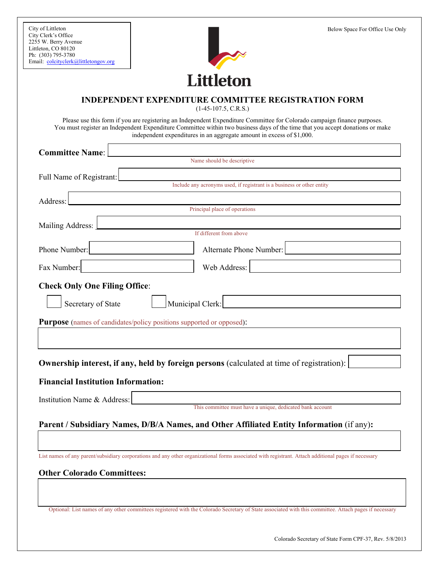

## **INDEPENDENT EXPENDITURE COMMITTEE REGISTRATION FORM**

(1-45-107.5, C.R.S.)

Please use this form if you are registering an Independent Expenditure Committee for Colorado campaign finance purposes. You must register an Independent Expenditure Committee within two business days of the time that you accept donations or make independent expenditures in an aggregate amount in excess of \$1,000.

| <b>Committee Name:</b>                                                                                                                                 |  |
|--------------------------------------------------------------------------------------------------------------------------------------------------------|--|
| Name should be descriptive                                                                                                                             |  |
| Full Name of Registrant:                                                                                                                               |  |
| Include any acronyms used, if registrant is a business or other entity                                                                                 |  |
| Address:                                                                                                                                               |  |
| Principal place of operations                                                                                                                          |  |
| Mailing Address:                                                                                                                                       |  |
| If different from above                                                                                                                                |  |
| Phone Number:<br>Alternate Phone Number:                                                                                                               |  |
| Fax Number:<br>Web Address:                                                                                                                            |  |
| <b>Check Only One Filing Office:</b>                                                                                                                   |  |
| Municipal Clerk:<br>Secretary of State                                                                                                                 |  |
| <b>Purpose</b> (names of candidates/policy positions supported or opposed):                                                                            |  |
|                                                                                                                                                        |  |
| Ownership interest, if any, held by foreign persons (calculated at time of registration):                                                              |  |
| <b>Financial Institution Information:</b>                                                                                                              |  |
| Institution Name & Address:                                                                                                                            |  |
| This committee must have a unique, dedicated bank account                                                                                              |  |
| Parent / Subsidiary Names, D/B/A Names, and Other Affiliated Entity Information (if any):                                                              |  |
|                                                                                                                                                        |  |
| List names of any parent/subsidiary corporations and any other organizational forms associated with registrant. Attach additional pages if necessary   |  |
| <b>Other Colorado Committees:</b>                                                                                                                      |  |
|                                                                                                                                                        |  |
|                                                                                                                                                        |  |
| Optional: List names of any other committees registered with the Colorado Secretary of State associated with this committee. Attach pages if necessary |  |